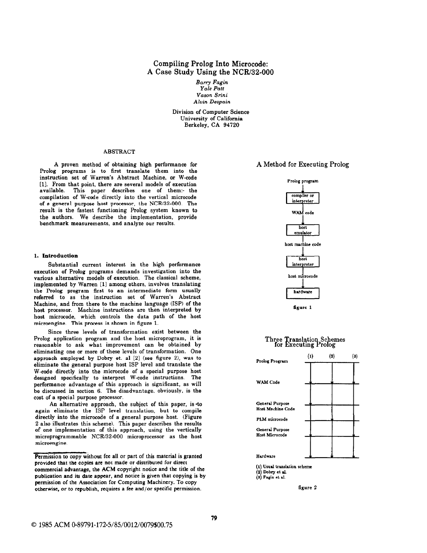# Compiling Prolog Into Microcode: A Case Study Using the NCR/32-000

Barry Fugin Yale Patt Vason Srini Alvin Despain

Division of Computer Science University of California Berkeley, CA 94720

## ABSTRACT

A proven method of obtaining high performance for Prolog programs is to first translate them into the instruction set of Warren's Abstract Machine, or W-code [l]. From that point, there are several models of execution available. This paper describes one of them:- the compilation of W-code directly into the vertical microcode of a general purpose host processor, the NCR/32-000. The result is the fastest functioning Prolog system known to the authors. We describe the implementation, provide benchmark measurements, and analyze our results.

## 1. Introduction

Substantial current interest in the high performance execution of Prolog programs demands investigation into the various alternative models of execution. The classical scheme, implemented by Warren [1] among others, involves translating the Prolog program first to an intermediate form usually referred to as the instruction set of Warren's Abstract Machine, and from there to the machine language (ISP) of the host processor. Machine instructions are then interpreted by host microcode, which controls the data path of the host microengine. This process is shown in figure 1.

Since three levels of transformation exist between the Prolog application program and the host microprogram, it is reasonable to ask what improvement can be obtained by eliminating one or more of these levels of transformation. One approach employed by Dobry et. al [2] (see figure 2), was to eliminate the general purpose host ISP level and translate the W-code directly into the microcode of a special purpose host designed specifically to interpret W-code instructions. The performance advantage of this approach is significant, as will be discussed in section 6. The disadvantage, obviously, is the cost of a special purpose processor.

An alternative approach, the subject of this paper, is-to again eliminate the ISP level translation, but to compile directly into the microcode of a general purpose host. (Figure 2 also illustrates this scheme). This paper describes the results of one implementation of this approach, using the vertically microprogrammable NCR/32-000 microprocessor as the host microengine.

## A Method for Executing Prolog







figure 2

Permission to copy without fee all or part of this material is granted provided that the copies are nor made or distributed for direct commercial advantage, the ACM copyright notice and the title of the publication and its date appear, and notice is given that copying is by permission of the Association for Computing Machinery. To copy otherwise, or to republish, requires a fee and/or specific permission.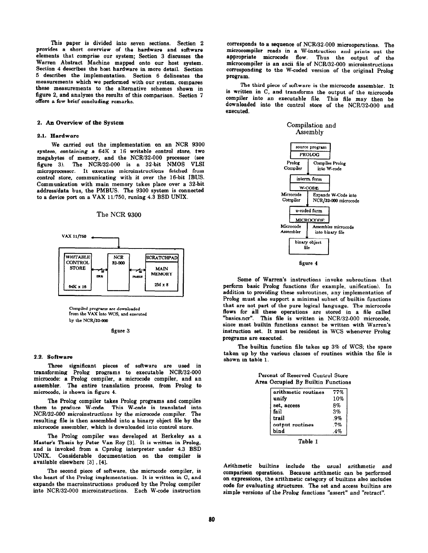This paper is divided into seven sections. Section 2 provides a short overview of the hardware and software elements that comprise our system; Section 3 discusses the Warren Abstract Machine mapped onto our host system. Section 4 describes the host hardware in more detail. Section 5 describes the implementation. Section 6 delineates the measurements which we performed with our system, compares these measurements to the alternative schemes shown in figure 2, and analyses the results of this comparison. Section 7 offers a few brief concluding remarks.

## 2. Am Overview of the System

## 2.1. Hardware

We carried out the implementation on an NCR 9300 system, containing a  $64K \times 16$  writable control store, two megabytes of memory, and the NCR132-000 processor (see figure 3). The NCR/32-000 is a 32-bit NMOS VLSI microprocessor. It executes microinstruction8 fetched from control store, communicating with it over the 16-bit IBUS. Communication with main memory takes place over a 32-bit address/data bus, the PMBUS. The 9300 system is connected to a device port on a VAX  $11/750$ , runing  $4.3$  BSD UNIX.

# The NCR 9300



Compiled programs are downloaded from the VAX into WCS, and executed by the NCR/32-000

figure 3

#### 2.2. Software

Three significant pieces of software are used in  $transnormal$   $Prolog$   $programs$  to executable  $NCR/32-00$ microcode: a Prolog compiler, a microcode compiler, and an assembler. The entire translation process, from Prolog to microcode, is shown in figure 4.

The Prolog compiler takes Prolog programs and compiles them to produce W-code. This W-code is translated into NCR/32-000 microinstructions by the microcode compiler. The resulting file is then assembled into a binary object file by the microcode assembler, which is downloaded into control store.

The Prolog compiler was developed at Berkeley as a Master's Thesis by Peter Van Roy [3]. It is written in Prolog, and is invoked from a Cprolog interpreter under 4.3 BSD UNIX. Considerable documentation on the compiler is available elsewhere [3], [4].

The second piece of software, the microcode compiler, is the heart of the Prolog implementation. It is written in C, and expands the macroinstructions produced by the Prolog compiler into NCR/32-000 microinstructions. Each W-code instruction

corresponds to a sequence of NCR/32-000 microoperations. The microcompiler reads in a W-instruction and prints out the appropriate microcode flow. Thus the output of the microcompiler is an ascii file of NCR/32-000 microinstructions corresponding to the W-coded version of the original Prolog program.

The third piece of software is the microcode assembler. It is written in C, and transforms the output of the microcode compiler into an executable file. This file may then be downloaded into the control store of the NCR/32-000 and executed.



Some of Warren's instructions invoke subroutines that perform basic Prolog functions (for example, unification). In addition to providing these subroutines, any implementation of Prolog must also support a minimal subset of builtin functions that are not part of the pure logical language. The microcode flows for all these operations are stored in a file called "basics.ncr". This file is written in NCR/32-000 microcode, since most builtin functions cannot be written with Warren's instruction set. It must be resident in WCS whenever Prolog programs are executed.

The builtin function file takes up 3% of WCS; the space taken up by the various classes of routines within the file is shown in table 1.

Percent of Reserved Control Store Area Occupied By Builtin Functions

| arithmetic routines | 77%    |
|---------------------|--------|
| unify               | 10%    |
| set, access         | 8%     |
| fail                | 3%     |
| trail               | $.9\%$ |
| output routines     | .7%    |
| hind                |        |

Table 1

Arithmetic builtins include the usual arithmetic and comparison operations. Because arithmetic can be performed on expressions, the arithmetic category of builtins also includes code for evaluating structures. The set and access builtins are simple versions of the Prolog functions "assert" and "retract".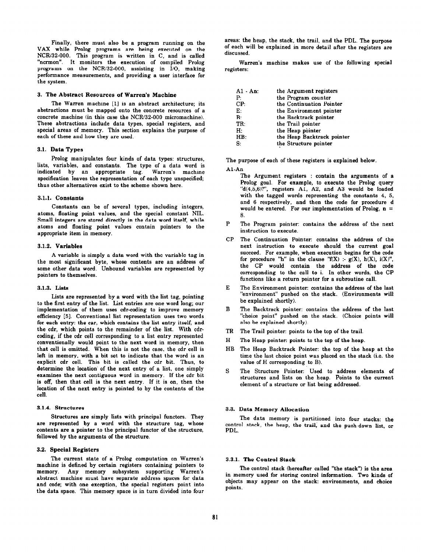Finally, there must also be a program running on the VAX while Prolog programs are being executed on the NCR/32-000. This program is written in C, and is called "ncrmon". It monitors the execution of compiled Prolog programs on the NCR/32-000, assisting in I/O, making performance measurements, and providing a user interface for the system.

### 3. The Abstract Resources of Warren's Machine

The Warren machine [l] is an abstract architecture; its abstractions must be mapped onto the concrete resources of a concrete machine (in this case the NCR/32-000 micromachine). These abstractions include data types, special registers, and special areas of memory. This section explains the purpose of each of these and how they are used.

#### 3.1. Data Types

Prolog manipulates four kinds of data types: structures, lists, variables, and constants. The type of a data word is indicated by an appropriate tag. Warren's machine specification leaves the representation of each type unspecified; thus other alternatives exist to the scheme shown here.

# 3.1.1. Constants

Constants can be of several types, including integers, atoms, floating point values, and the special constant NIL. Small integers are stored directly in the data word itself, while atoms and floating point values contain pointers to the appropriate item in memory.

# 3.1.2. Variables

A variable is simply a data word with the variable tag in the most significant byte, whose contents are an address of some other data word. Unbound variables are represented by pointers to themselves.

#### 3.1.3. Lists

Lists are represented by a word with the list tag, pointing to the first entry of the list. List entries are one word long; our implementation of them uses cdr-coding to improve memory efficiency [5]. Conventional list representation uses two words for each entry: the car, which contains the list entry itself, and the cdr, which points to the remainder of the list. With cdrcoding, if the cdr cell corresponding to a list entry represented conventionally would point to the next word in memory, then that cell is omitted. When this is not the case. the cdr cell is left in memory, with a bit set to indicate that the word is an explicit cdr cell. This bit is called the cdr bit. Thus, to determine the location' of the next entry of a list, one simply examines the next contiguous word in memory. If the cdr bit is off, then that cell is the next entry. If it is on, then the location of the next entry is pointed to by the contents of the cell.

## 3.1.4. Structures

Structures are simply lists with principal functors. They are represented by a word with the structure tag, whose contents are a pointer to the principal functor of the structure, followed by the arguments of the structure.

#### 3.2. Special Registers

The current state of a Prolog computation on Warren's machine is defined by certain registers containing pointers to memory. Any memory subsystem supporting Warren's abstract machine must have separate address spaces for data and code; with one exception, the special registers point into the data space. This memory space is in turn divided into four areas: the heap, the stack, the trail, and the PDL. The purpose of each will be explained in more detail after the registers are discussed.

Warren's machine makes use of the following special registers:

| $A1 - An$ :    | the Argument registers     |
|----------------|----------------------------|
| P <sub>1</sub> | the Program counter        |
| CP:            | the Continuation Pointer   |
| E:             | the Environment pointer    |
| $\mathbf{R}$ : | the Backtrack pointer      |
| TR:            | the Trail pointer          |
| Н.             | the Heap pointer           |
| HB:            | the Heap Backtrack pointer |
| S:             | the Structure pointer      |

The purpose of each of these registers is explained below.

Al-An

- The Argument registers : contain the arguments of a Prolog goal. For example, to execute the Prolog query 'd(4,5,6)?", registers Al, A2, and A3 would be loaded with the tagged words representing the constants 4, 5, and 6 respectively, and then the code for procedure d would be entered. For our implementation of Prolog,  $n =$ 8.
- P The Program pointer: contains the address of the next instruction to execute.
- $CP$ The Continuation Pointer: contains the address of the next instruction to execute should the current goal succeed. For example, when execution begins for the code for procedure "h" in the clause "f(X) :-  $g(X)$ , h(X), i(X)", the CP would contain the address of the code corresponding to the call to i. In other words, the CP functions like a return pointer for a subroutine call.
- E The Environment pointer: contains the address of the last "environment" pushed on the stack. (Environments will be explained shortly).
- B The Backtrack pointer: contains the address of the last "choice point" pushed on the stack. (Choice points will also be explained shortly).
- TR The Trail pointer: points to the top of the trail.
- H The Heap pointer: points to the top of the heap.
- HB The Heap Backtrack Pointer: the top of the heap at the time the last choice point was placed on the stack (i.e. the value of H corresponding to B).
- S The Structure Pointer: Used to address elements of structures and lists on the heap. Points to the current element of a structure or list being addressed.

#### 3.3. Data Memory Allocati

The data memory is partitioned into four stacks: the control stack, the heap, the trail, and the push-down list, or PDL.

## 3.3.1. The Control Stack

The control stack (hereafter called "the stack") is the area in memory used for storing control information. Two kinds of objects may appear on the stack: environments, and choice points.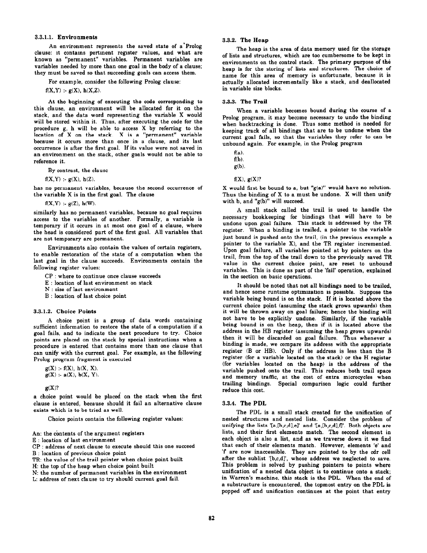#### 3.3.1.1. Environments

An environment represents the saved state of a'Prolog clause: it contains pertinent register values, and what are known as "permanent" variables. Permanent variables are variables needed by more than one goal in the body of a clause; they must be saved so that succeeding goals can access them.

For example, consider the following Prolog clause:

 $f(X,Y) := g(X), h(X,Z).$ 

At the beginning of executing the code corresponding to this clause, an environment will be allocated for it on the stack, and the data word representing the variable X would will be stored within it. Thus, after executing the code for the procedure g, h will be able to access X by referring to the location of X on the stack. X is a "permanent" variable because it occurs more than once in a clause, and its last occurrence is after the first goal. If its value were not saved in an environment on the stack, other goals would not be able to reference it.

By contrast, the clause

 $f(X,Y) := g(X)$ , h(Z).

has no permanent variables, because the second occurrence of the variable X is in the first goal. The clause

 $f(X,Y) := g(Z), h(W).$ 

similarly has no permanent variables, because no goal requires access to the variables of another. Formally, a variable is temporary if it occurs in at most one goal of a clause, where the head is considered part of the first goal. All variables that are not temporary are permanent.

Environments also contain the values of certain registers, to enable restoration of the state of a computation when the last goal in the clause succeeds. Environments contain the following register values:

- CP : where to continue once clause succeeds
- E : location of last environment on stack
- N : size of last environment
- B : location of last choice point

#### 3.3.1.2. Choice Points

A choice point is a group of data words containing sufficient information to restore the state of a computation if a goal fails, and to indicate the next procedure to try. Choice points are placed on the stack by special instructions when a procedure is entered that contains more than one clause that can unify with the current goal. For example, as the following Prolog program fragment is executed

 $g(X) := f(X), h(X, X).$ 

$$
\mathbf{g}(\mathbf{X})\coloneq \mathbf{a}(\mathbf{X}),\ \mathbf{b}(\mathbf{X},\ \mathbf{Y}).
$$

 $g(X)?$ 

a choice point would be placed on the stack when the first clause is entered, because should it fail an alternative clause exists which is to be tried as well.

Choice points contain the following register values:

An: the contents of the argument registers

- E : location of last environment
- CP : address of next clause to execute should this one succeed
- B : location of previous choice point
- TR: the value of the trail pointer when choice point built
- H: the top of the heap when choice point built
- N: the number of permanent variables in the environment
- L: address of next clause to try should current goal fail.

#### 3.3.2. The Heap

The heap is the area of data memory used for the storage of lists and structures, which are too cumbersome to be kept in environments on the control stack. The primary purpose of the heap is for the storing of lists and structures. The choice of name for this area of memory is unfortunate, because it is actually allocated incrementally like a stack, and deallocated in variable size blocks.

## 3.3.3. The Trail

When a variable becomes bound during the course of a Prolog program, it may become necessary to undo the binding when backtracking is done. Thus some method is needed for keeping track of all bindings that are to be undone when the current goal fails, so that the variables they refer to can be unbound again, For example, in the Prolog program

 $f(a)$ .

 $f(b)$ .

 $g(b)$ .

 $f(X)$ ,  $g(X)?$ 

X would first be bound to a, but " $g(a)$ " would have no solution. Thus the binding of  $X$  to a must be undone.  $X$  will then unify with  $b$ , and " $g(b)$ " will succeed.

A small stack called the trail is used to handle the necessary bookkeeping for bindings that will have to be undone upon goal failure. This stack is addressed by the TR register. When a binding is trailed, a pointer to the variable just bound is pushed onto the trail, (in the previous example a pointer to the variable X), and the TR register incremented. Upon goal failure, all variables pointed at by pointers on the trail, from the top of the trail down to the previously saved TR value in the current choice point, are reset to unbound variables. This is done as part of the 'fail' operation, explained in the section on basic operations.

It should be noted that not all bindings need to be trailed, and hence some runtime optimization is possible. Suppose the variable being bound is on the stack. If it is located above the current choice point (assuming the stack grows upwards) then it will be thrown away on goal failure; hence the binding will not have to be explicitly undone. Similarly, if the variable being bound is on the heap, then if it is located above the address in the HB register (assuming the heap grows upwards) then it will be discarded on goal failure. Thus whenever a binding is made, we compare its address with the appropriate register (B or HB). Only if the address is less than the B register (for a variable located on the stack) or the H register (for variables located on the heap) is the address of the variable pushed onto the trail. This reduces both trail space and memory traffic, at the cost of extra microcycles when trailing bindings. Special comparison logic could further reduce this cost.

#### 3.3.4. The PDL

The PDL is a small stack created for the unification of nested structures and nested lists. Consider the problem of unifying the lists ' $[a,[b,c,d],e]'$  and ' $[a,[b,c,d],f]'$ . Both objects are lists, and their first elements match. The second element in each object is also a list, and as we traverse down it we find that each of their elements match. However, elements 'e' and 'f are now inaccessible. They are pointed to by the cdr cell after the sublist  $'[b,c,d]$ , whose address we neglected to save. This problem is solved by pushing pointers to points where unification of a nested data object is to continue onto a stack; in Warren's machine, this stack is the PDL. When the end of a substructure is encountered, the topmost entry on the PDL is popped off and unification continues at the point that entry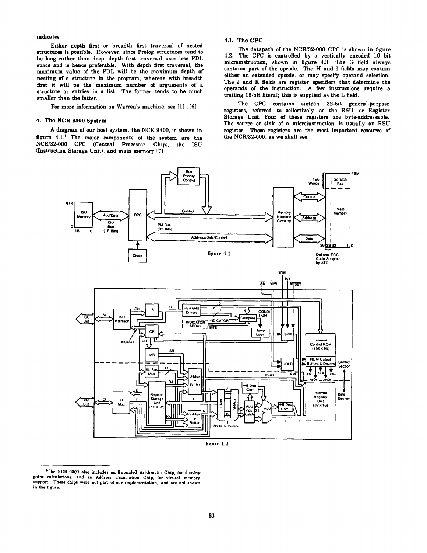indicates.

Either depth first or breadth first traversal of nested structures is possible. However, since Prolog structures tend to be long rather than deep, depth first traversal uses less PDL apace and is hence preferable. With depth first traversal, the maximum value of the PDL will be the maximum depth of nesting of a structure in the program, whereas with breadth first it will be the maximum number of arguments of a structure or entries in a list. The former tends to be much smaller than the latter.

For more information on Warren's machine, see  $[1]$ ,  $[6]$ .

# 4. The NCR 9300 System

A diagram of our host system, the NCR 9300, is shown in figure  $4.1$ .<sup>1</sup> The major components of the system are the NCW32-000 CPC (Central Processor Chip), the ISU (Instruction Storage Unit), and main memory [?I.

## 4.1. The CPC

The datapath of the  $NCR/32-000$  CPC is shown in figure 4.2. The CPC is controlled by a vertically encoded 16 bit microinstruction, shown in figure 4.3. The G field always contains part of the opcode. The H and I fields may contain either an extended opcode, or may specify operand selection. The J and K fields are register specifiers that determine the operands of the instruction. A few instructions require a trailing I6-bit literal; this is supplied as the L field.

The CPC contains sixteen 32-bit general-purpose registers, referred to collectively as the RSU, or Register Storage Unit. Four of these registers are byte-addressable. The source or sink of a microinstruction is usually an RSU register. These registers are the most important resource of the NCR/32-000, as we shall see.



<sup>&#</sup>x27;The NCR 9300 alao includes an Extended Arithmetic Chip, for floating point calculations, and an Address Translation Chip, for virtual memory support. These chips were not part of our implementation, and are not shown in the figure.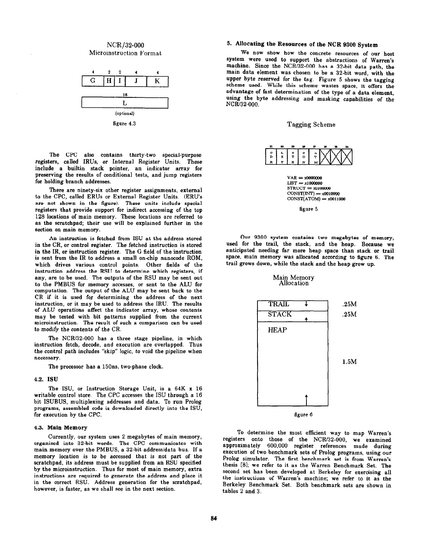



figure 4.3

The CPC also contains thirty-two special-purpose registers, called IRUs, or Internal Register Units. These include a builtin stack pointer, an indicator array for preserving the results of conditional tests, and jump registers for holding branch addresses.

There are ninety-six other register assignments, external to the CPC, called ERUs or External Register Units. (ERU's are not shown in the figure). These units include special registers that provide support for indirect accessing of the top 128 locations of main memory. These locations are referred to as the scratchpad; their use will be explained further in the section on main memory.

An instruction is fetched from ISU at the address stored in the CR, or control register. The fetched instruction is stored in the IR, or instruction register. The G field of the instruction is sent from the IR to address a small on-chip nanocode ROM, which drives various control points. Other fields of the instruction address the RSU to determine which registers, if any, are to be used. The outputs of the RSU may be sent out to the PMBUS for memory accesses, or sent to the ALU for computation. The output of the ALU-may be sent back to the CR if it is used for determining the address of the next instruction, or it may be used to address the IRU. The results of ALU operations affect the indicator array, whose contents may be tested with bit patterns supplied from the current microinstruction. The result of such a comparison can be used to modify the contents of the CR.

The NCR/32-000 has a three stage pipeline, in which instruction fetch, decode, and execution are overlapped. Thus the control path includes "skip" logic, to void the pipeline when necessary.

The processor has a 150ns, two-phase clock.

#### 4.2. ISU

The ISU, or Instruction Storage Unit, is a 64K x 16 writahle control store. The CPC accesses the ISU through a 16 bit ISUBUS, multiplexing addresses and data. To run Prolog programs, assembled code is downloaded directly into the ISU, for execution by the CPC.

## 4.3. Main Memory

Currently, our system uses 2 megabytes of main memory, organized into 32-bit words. The CPC communicates with main memory over the PMBUS, a 32-bit address/data bus. If a memory location is to be accessed that is not part of the scratchpad, its address must be supplied from an RSU specified by the microinstruction. Thus for most of main memory, extra instructions are required to generate the address and place it in the correct RSU. Address generation for the scratchpad, however, is faster, as we shall see in the next section.

# 5. Allocating the Resources of the NCR 9300 System

We now show how the concrete resources of our host system were used to support the abstractions of Warren's machine. Since the NCR/32-000 has a 32-bit data path, the main data element was chosen to be a 32-bit word, with the upper byte reserved for the tag. Figure 5 shows the tagging scheme used. While this scheme wastes space, it offers the advantage of fast determination of the type of a data element, using the byte addressing and masking capabilities of the NCR/32-000.

## Tagging Scheme



 $VAR = x0000000$  $LIST = x1000000$  $STRUCT = x0100000$  $CONF(TINT) = x0010000$  $CONF(ATOM) = x0011000$ 

figure 5

Our 9300 system contains two megabytes of memory, used for the trail, the stack, and the heap. Because we anticipated needing far more heap space than stack or trail space, main memory was allocated according to figure 6. The trail grows down, while the stack and the heap grow up.

# Main Memory Allocation



To determine the most efficient way to map Warren's registers onto those of the NCR/32-000, we examined approximately 600,000 register references made during execution of two benchmark sets of Prolog programs, using our Prolog simulator. The first benchmark set is from Warren's thesis 181; we refer to it as the Warren Benchmark Set. The second set has been developed at Berkeley for exercising all the instructions of Warren's machine; we refer to it as the Berkeley Benchmark Set. Both benchmark sets are shown in tables 2 and 3.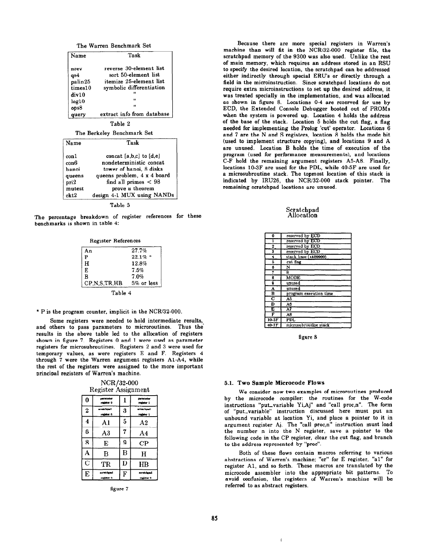| The Warren Benchmark Set |                 |                             |  |
|--------------------------|-----------------|-----------------------------|--|
|                          | Name            | Task                        |  |
|                          |                 |                             |  |
|                          | nrev            | reverse 30-element list     |  |
|                          | gs4             | sort 50-element list        |  |
|                          | palin25         | itemize 25-element list     |  |
|                          | times10         | symbolic differentiation    |  |
|                          | div10           |                             |  |
|                          | log10           |                             |  |
|                          | $_{\text{obs}}$ | 11                          |  |
|                          | query           | extract info from database  |  |
| Table 2                  |                 |                             |  |
|                          |                 |                             |  |
|                          |                 | The Berkeley Benchmark Set  |  |
| Name<br>Task             |                 |                             |  |
|                          |                 |                             |  |
|                          | con 1           | concat $[a,b,c]$ to $[d,e]$ |  |
|                          | con6            | nondeterministic concat     |  |
|                          | hanoi           | tower of hanoi, 8 disks     |  |
| queens                   |                 | queens problem, 4 x 4 board |  |
|                          | pri2            | find all primes $< 98$      |  |
|                          | mutest          | prove a theorem             |  |
| ckt2                     |                 | design 4-1 MUX using NANDs  |  |
|                          |                 |                             |  |

Table 3

The percentage breakdown of register references for these benchmarks is shown in table 4:

| $22.1\%$ *    |
|---------------|
| 12.8%         |
| $7.5\%$       |
| 7.0%          |
| $5\%$ or less |
|               |

\* P is the program counter, implicit in the NCR/32000.

Some registers were needed to hold intermediate results, and others to pass parameters to microroutines. Thus the' results in the above table led to the allocation of registers shown in figure 7. Registers 0 and 1 were used as parameter registers for microsubroutines. Registers 2 and 3 were used for temporary values, as were registers E and F. Registers 4 through 7 were the Warren argument registers Al-A4, while the rest of the registers were assigned to the more important principal registers of Warren's machine.

NCR/32-000 Register Assignment

|                         | ີ                        |   |                          |
|-------------------------|--------------------------|---|--------------------------|
| 0                       | perameter<br>register 0  | 1 | personaler<br>register 1 |
| $\overline{2}$          | acretchpad<br>register 0 | 3 | stratchmed<br>regater 1  |
| $\overline{\mathbf{4}}$ | Al                       | 5 | A2                       |
| 6                       | A3                       | 7 | A4                       |
| 8                       | E                        | g | CP                       |
| A                       | в                        | в | Н                        |
| $\overline{C}$          | TR                       | D | HВ                       |
| E                       | acretchpad<br>ہ حد       | F | acratchpad<br>ه سمت      |

figure 7

Because there are more special registers in Warren's machine than will fit in the NCR/32-000 register file, the scratchpad memory of the 9300 was also used. Unlike the rest of main memory, which requires an address stored in an RSU to specify the desired location, the scratchpad can be addressed either indirectly through special ERU's or directly through a field in the microinstruction. Since scratchpad locations do not require extra microinstructions to set up the desired address, it was treated specially in the implementation, and was allocated as shown in figure 8. Locations O-4 are reserved for use by ECD, the Extended Console Debugger booted out of PROMS when the system is powered up. Location 4 holds the address of the base of the stack. Location 5 holds the cut flag, a flag needed for implementing the Prolog 'cut' operator. Locations 6 and 7 are the N and S registers, location 8 holds the mode hit (used to implement structure copying), and locations 9 and A are unused. Location B holds the time of execution of the program (used for performance measurements), and locations C-F hold the remaining argument registers A5-A8. Finally, locations lo-3F are used for the PDL, while 40-5F are used for a microsubroutine stack. The topmost location of this stack is indicated by IRU26, the NCR/32-000 stack pointer. The remaining scratchpad locations are unused.

#### Scratchpad Allocation

| 0       | reserved by ECD         |
|---------|-------------------------|
| 1       | reserved by ECD         |
| 2       | reserved by ECD         |
| 3       | reserved by ECD         |
| ś       | stack base (x180000)    |
| 5       | cut flag                |
| 6       | N                       |
| 7       | s                       |
| g       | <b>MODE</b>             |
| Ū       | unused                  |
| А       | unused                  |
| в       | program execution time  |
| C       | A5                      |
| D       | A6                      |
| E       | A7                      |
| F       | A8                      |
| $10-3F$ | $\overline{\text{PDL}}$ |
| 40-7F   | microsubroutine stack   |

figure 8

#### 5.1. Two Sample Microcode Flows

 $\overline{1}$ 

We consider now two examples of microroutines produced by the microcode compiler: the routines for the W-code instructions "put-variable Yi,Aj" and "call proc,n". The form of "put-variable" instruction discussed here must put an unbound variable at location Yi, and place a pointer to it in argument register Aj. The "call proc,n" instruction must load the number n into the N register, save a pointer to the following code in the CP register, clear the cut flag, and branch to the address represented by "proc".

Both of these flows contain macros referring to various abstractions of Warren's machine; "er" for E register, "al" for register Al, and so forth. These macros are translated by the microcode assembler into the appropriate bit patterns. To avoid confusion, the registers of Warren's machine will be referred to as abstract registers.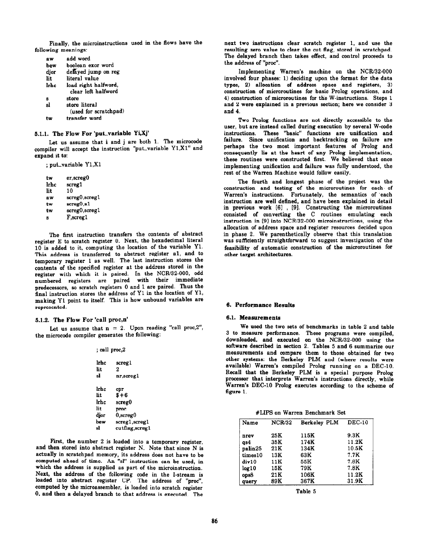Finally, the microinstructions used in the flows have the following meanings:

| aw   | add word                                    |
|------|---------------------------------------------|
| bew  | boolean exor word                           |
| dior | delayed jump on reg                         |
| lit  | literal value                               |
| lrhc | load right halfword,<br>clear left halfword |
| s    | store                                       |
| яl   | store literal<br>(used for scratchpad)      |
|      |                                             |

tw transfer word

# 5.1.1. The Flow For 'put-variable Yi,Xj'

Let us assume that i and j are both 1. The microcode compiler will accept the instruction "put-variable Yl,Xl" and expand it to:

; put-variable Yl,Xl

| tw          | er, screg0    |
|-------------|---------------|
| <b>Irhc</b> | screg1        |
| lit         | 10            |
| aw          | screg0,screg1 |
| tw          | screg0.a1     |
| tw          | screg0,screg1 |
| s           | F,screg1      |

The first instruction transfers the contents of abstract register E to scratch register 0. Next, the hexadecimal literal 10 is added to it, computing the location of the variable Yl. This address is transferred to abstract register al, and to temporary register 1 as well. The last instruction stores the contents of the specified register at the address stored in the register with which it is paired. In the NCR/32-000, odd numbered registers are paired with their immediate predecessors, so scratch registers 0 and 1 are paired. Thus the final instruction stores the address of  $Y1$  in the location of  $Y1$ , making Yl point to itself, This is how unbound variables are represented.

# 5.1.2. The Flow For 'call proc,n'

Let us assume that  $n = 2$ . Upon reading "call proc,2", the microcode compiler generates the following:

| ; call proc,2 |                      |  |  |
|---------------|----------------------|--|--|
| lrhc          | scregl               |  |  |
| lit           | 2                    |  |  |
| sl            | $n r, \text{screen}$ |  |  |
| lrhc          | cpr                  |  |  |
| lit           | $$+6$                |  |  |
| lrhc          | screg0               |  |  |
| lit           | proc                 |  |  |
| dior          | $0,\sec$ reg $0$     |  |  |
| bew           | screg1,screg1        |  |  |
| sł            | cutflag,screg1       |  |  |

First, the number 2 is loaded into a temporary register, and then stored into abstract register N. Note that since N is actually in scratchpad memory, its address does not have to be computed ahead of time. An "sl" instruction can be used, in which the address is supplied as part of the microinstruction. Next, the address of the following code in the I-stream is loaded into abstract register CP. The address of "proc", computed by the microassembler, is loaded into scratch register 0, and then a delayed branch to that address is executed. The

next two instructions clear scratch register 1, and use the resulting zero value to clear the cut flag, stored in scratchpad. The delayed branch then takes effect, and control proceeds to the address of "proc".

Implementing Warren's machine on the NCR/32-000 involved four phases: 1) deciding upon the format for the data types, 2) allocation of address space and registers, 3) construction of microroutines for basic Prolog operations, and 4) construction of microroutines for the W-instructions. Steps 1 and 2 were explained in a previous section; here we consider 3 and 4.

Two Prolog functions are not directly accessible to the user, but are instead called during execution by several W-code instructions. These "basic" functions are unification and failure. Since unification and backtracking on failure are perhaps the two most important features of Prolog and consequently lie at the heart of any Prolog implementation, these routines were constructed first. We believed that once implementing unification and failure was fully understood, the rest of the Warren Machine would follow easily.

The fourth and longest phase of the project was the construction and testing of the microroutines for each. of Warren's instructions. Fortunately, the semantics of 'each instruction are well defined, and have been explained in detail in previous work [6] , [9]. Constructing the microroutines consisted of converting the C routines emulating each instruction in [9] into NCR/32-000 microinstructions, using the allocation of address space and register resources decided upon in phase 2. We parenthetically observe that this translation was sufficiently straightforward to suggest investigation of the feasibility of automatic construction of the microroutines for other target architectures.

## 6. Performance Results

## 6.1. Measurements

We used the two sets of benchmarks in table 2 and table 3 to measure performance. These programs were compiled, downloaded, and executed on the NCR/32-000 using the software described in section 2. Tables 5 and 6 summarize our measurements and compare them to those obtained for two other systems: the Berkeley PLM and (where results were available) Warren's compiled Prolog running on a DEC-10. Recall that the Berkeley PLM is a special purpose Prolog processor that interprets Warren's instructions directly, while Warren's DEC.10 Prolog executes according to the scheme of figure 1.

#LIPS on Warren Benchmark Set

| Name    | <b>NCR/32</b> | <b>Berkeley PLM</b> | $DEC-10$ |
|---------|---------------|---------------------|----------|
| nrev    | 25K           | 115K                | 9.3K     |
| as4     | 35K           | 174K                | 11.2K    |
| palin25 | 21 K          | 134K                | 10.5K    |
| times10 | 13K           | 63K                 | 7.7K     |
| div10   | 11K           | 55K                 | 7.8K     |
| log10   | 15K           | 79K                 | 7.8K     |
| ops8    | 21K           | 106K                | 11.2K    |
| query   | 89K           | 367K                | 31.9K    |

Table 5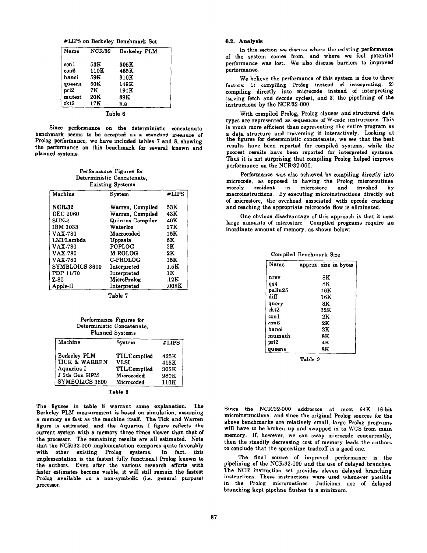|        |        | #LIPS on Berkeley Benchmark Set |  |
|--------|--------|---------------------------------|--|
| Name   | NCR/32 | <b>Berkeley PLM</b>             |  |
| con1   | 53K    | 305K                            |  |
| con6   | 110K   | 465K                            |  |
| hanoi  | 59K    | 310K                            |  |
| queens | 50K    | 148K                            |  |
| pri2   | 7K     | 191K                            |  |
| mutest | 20K    | 89K                             |  |
| ckt2   | 17K    | n.a.                            |  |

Table 6

Since performance on the deterministic concatenate benchmark seems to be accepted as a standard measure of Prolog performance, we have included tables 7 and 8, showing the performance on this benchmark for several known and planned systems.

> Performance Figures for Deterministic Concatenate, Existing Systems

| Machine         | Svstem           | #LIPS             |
|-----------------|------------------|-------------------|
| <b>NCR/32</b>   | Warren, Compiled | 53K               |
| <b>DEC 2060</b> | Warren, Compiled | 43K               |
| $SUN-2$         | Quintus Compiler | 40K               |
| IBM 3033        | Waterloo         | 27K               |
| <b>VAX-780</b>  | Macrocoded       | 15K               |
| LMI/Lambda      | Uppsala          | 8Κ                |
| <b>VAX-780</b>  | <b>POPLOG</b>    | 2K                |
| <b>VAX-780</b>  | M-ROLOG          | 2K                |
| <b>VAX-780</b>  | <b>C-PROLOG</b>  | 15K               |
| SYMBLOICS 3600  | Interpreted      | $1.5\,\mathrm{K}$ |
| PDP 11/70       | Interpreted      | 1К                |
| <b>7-80</b>     | MicroProlog      | .12K              |
| Apple-II        | Interpreted      | .008K             |

Table 7

#### Performance Figures for Deterministic Concatenate, Planned Systems

| System              | #LIPS |  |
|---------------------|-------|--|
| <b>TTL/Compiled</b> | 425K  |  |
| <b>VLSI</b>         | 415K  |  |
| TTL/Compiled        | 305K  |  |
| Microcoded          | 280K  |  |
| Microcoded          | 110K  |  |
|                     |       |  |

Table 8

The figures in table 8 warrant some explanation. The Berkeley PLM measurement is based on simulation, assuming a memory as fast as the machine itself. The Tick and Warren figure is estimated, and the Aquarius I figure reflects the current system with a memory three times slower than that of the processor. The remaining results are all estimated. Note that the NCR/32-000 implementation compares quite favorably with other existing Prolog systems. In fact, this implementation is the fastest fully functional Prolog known to the authors. Even after the various research efforts with faster estimates become viable, it will still remain the fastest Prolog available on a non-symbolic (i.e. general purpose) processor.

### 6.2. Analysis

In this section we discuss where the existing performance of the system comes from, and where we feel potential performance was lost. We also discuss barriers to improved performance.

We believe the performance of this system is due to three factors: 1) compiling Prolog instead of interpreting, 2) compiling directly into microcode instead of interpreting (saving fetch and decode cycles), and 3) the pipelining of the instructions by the NCR/32-000.

With compiled Prolog, Prolog clauses and structured data types are represented as sequences of W-code instructions. This is much more efficient than representing the entire program as a data structure and traversing it interactively. Looking at the figures for deterministic concatenate, we see that the best results have been reported for compiled systems, while the poorest results have been reported for interpreted systems. Thus it is not surprising that compiling Prolog helped improve performance on the NCR/32-000.

Performance was also achieved by compiling directly into microcode, as opposed to having the Prolog microroutines merely resident in microstore and invoked by macroinstructions. By executing microinstructions directly out of microstore, the overhead associated with opcode cracking and reaching the appropriate microcode flow is eliminated.

One obvious disadvantage of this approach is that it uses large amounts of microstore. Compiled programs require an inordinate amount of memory, as shown below:

Compiled Benchmark Size

| Name    | approx. size in bytes |
|---------|-----------------------|
| nrev    | 8Κ                    |
| as4     | 8Κ                    |
| palin25 | 16K                   |
| diff    | 16K                   |
| query   | 8Κ                    |
| ckt2    | 32K                   |
| con 1   | 2K                    |
| con 6   | 2K                    |
| hanoi   | 2Κ                    |
| mumath  | 8Κ                    |
| pri2    | 4K                    |
| queens  | 8Κ                    |

Table 9

Since the NCR/32-000 addresses at most 64K 16-bit. microinstructions, and since the original Prolog sources for the above benchmarks are relatively small, large Prolog programs will have to be broken up and swapped in to WCS from main memory. If, however, we can swap microcode concurrently; then the steadily decreasing cost of memory leads the authors to conclude that the space/time tradeoff is a good one.

The final source of improved performance is the pipelining of the NCR/32-000 and the use of delayed branches. The NCR instruction set provides eleven delayed branching instructions. These instructions were used whenever possible in the Prolog microroutines. Judicious use of delayed branching kept pipeline flushes to a minimum.